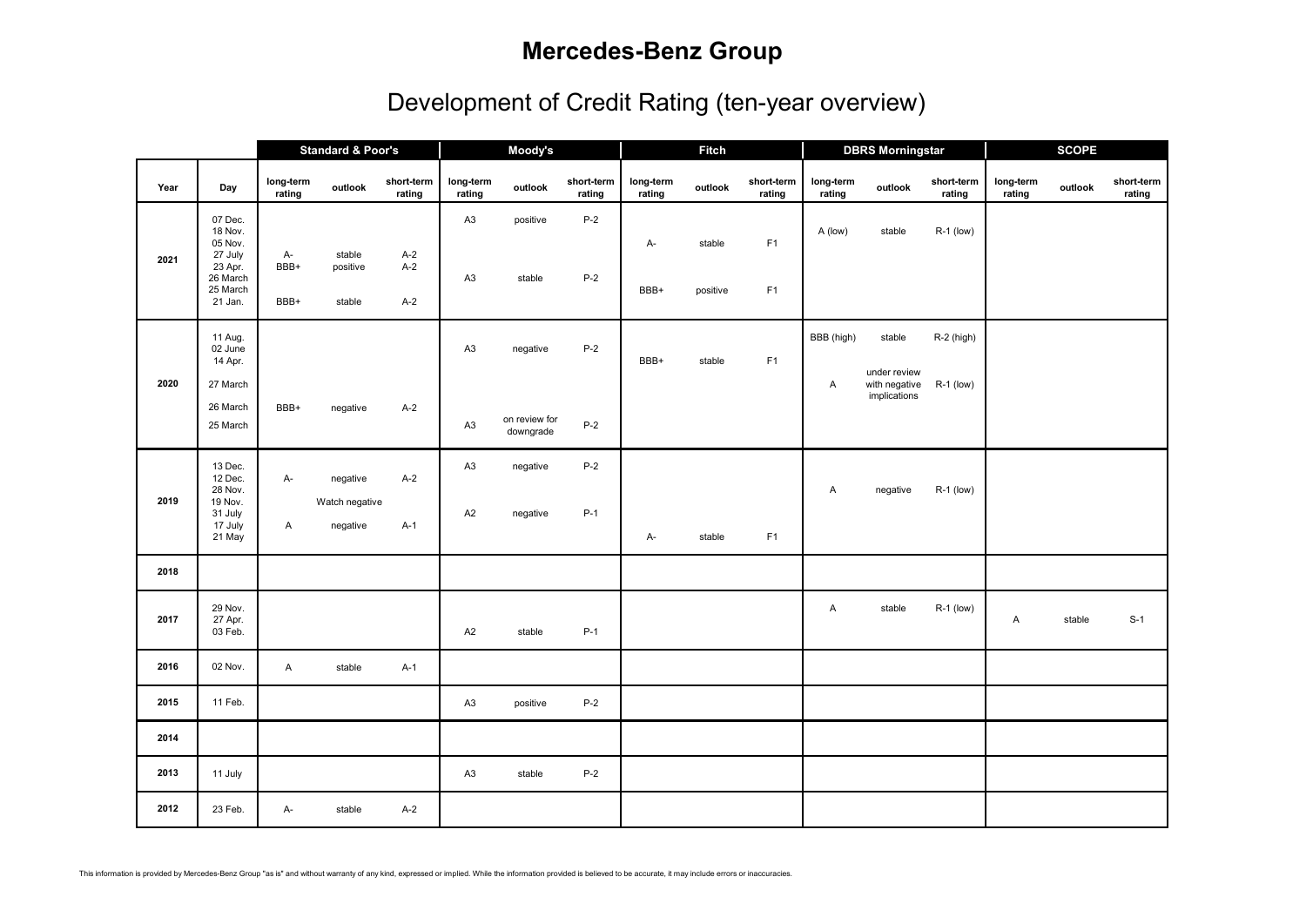## **Mercedes-Benz Group**

## Development of Credit Rating (ten-year overview)

|      |                                                                                        |                     | <b>Standard &amp; Poor's</b>           |                         | Moody's                          |                                        |                      | <b>Fitch</b>        |                    |                      |                     | <b>DBRS Morningstar</b>                                 |                             | <b>SCOPE</b>        |         |                      |  |
|------|----------------------------------------------------------------------------------------|---------------------|----------------------------------------|-------------------------|----------------------------------|----------------------------------------|----------------------|---------------------|--------------------|----------------------|---------------------|---------------------------------------------------------|-----------------------------|---------------------|---------|----------------------|--|
| Year | Day                                                                                    | long-term<br>rating | outlook                                | short-term<br>rating    | long-term<br>rating              | outlook                                | short-term<br>rating | long-term<br>rating | outlook            | short-term<br>rating | long-term<br>rating | outlook                                                 | short-term<br>rating        | long-term<br>rating | outlook | short-term<br>rating |  |
| 2021 | 07 Dec.<br>18 Nov.<br>05 Nov.<br>27 July<br>23 Apr.<br>26 March<br>25 March<br>21 Jan. | A-<br>BBB+<br>BBB+  | stable<br>positive<br>stable           | $A-2$<br>$A-2$<br>$A-2$ | A3<br>A3                         | positive<br>stable                     | $P-2$<br>$P-2$       | A-<br>BBB+          | stable<br>positive | F <sub>1</sub><br>F1 | A (low)             | stable                                                  | R-1 (low)                   |                     |         |                      |  |
| 2020 | 11 Aug.<br>02 June<br>14 Apr.<br>27 March<br>26 March<br>25 March                      | BBB+                | negative                               | $A-2$                   | A <sub>3</sub><br>A <sub>3</sub> | negative<br>on review for<br>downgrade | $P-2$<br>$P-2$       | BBB+                | stable             | F <sub>1</sub>       | BBB (high)<br>A     | stable<br>under review<br>with negative<br>implications | $R-2$ (high)<br>$R-1$ (low) |                     |         |                      |  |
| 2019 | 13 Dec.<br>12 Dec.<br>28 Nov.<br>19 Nov.<br>31 July<br>17 July<br>21 May               | A-<br>Α             | negative<br>Watch negative<br>negative | $A-2$<br>$A-1$          | A <sub>3</sub><br>A2             | negative<br>negative                   | $P-2$<br>$P-1$       | A-                  | stable             | F1                   | Α                   | negative                                                | $R-1$ (low)                 |                     |         |                      |  |
| 2018 |                                                                                        |                     |                                        |                         |                                  |                                        |                      |                     |                    |                      |                     |                                                         |                             |                     |         |                      |  |
| 2017 | 29 Nov.<br>27 Apr.<br>03 Feb.                                                          |                     |                                        |                         | A2                               | stable                                 | $P-1$                |                     |                    |                      | A                   | stable                                                  | R-1 (low)                   | Α                   | stable  | $S-1$                |  |
| 2016 | 02 Nov.                                                                                | A                   | stable                                 | $A-1$                   |                                  |                                        |                      |                     |                    |                      |                     |                                                         |                             |                     |         |                      |  |
| 2015 | 11 Feb.                                                                                |                     |                                        |                         | A3                               | positive                               | $P-2$                |                     |                    |                      |                     |                                                         |                             |                     |         |                      |  |
| 2014 |                                                                                        |                     |                                        |                         |                                  |                                        |                      |                     |                    |                      |                     |                                                         |                             |                     |         |                      |  |
| 2013 | 11 July                                                                                |                     |                                        |                         | A <sub>3</sub>                   | stable                                 | $P-2$                |                     |                    |                      |                     |                                                         |                             |                     |         |                      |  |
| 2012 | 23 Feb.                                                                                | A-                  | stable                                 | $A-2$                   |                                  |                                        |                      |                     |                    |                      |                     |                                                         |                             |                     |         |                      |  |